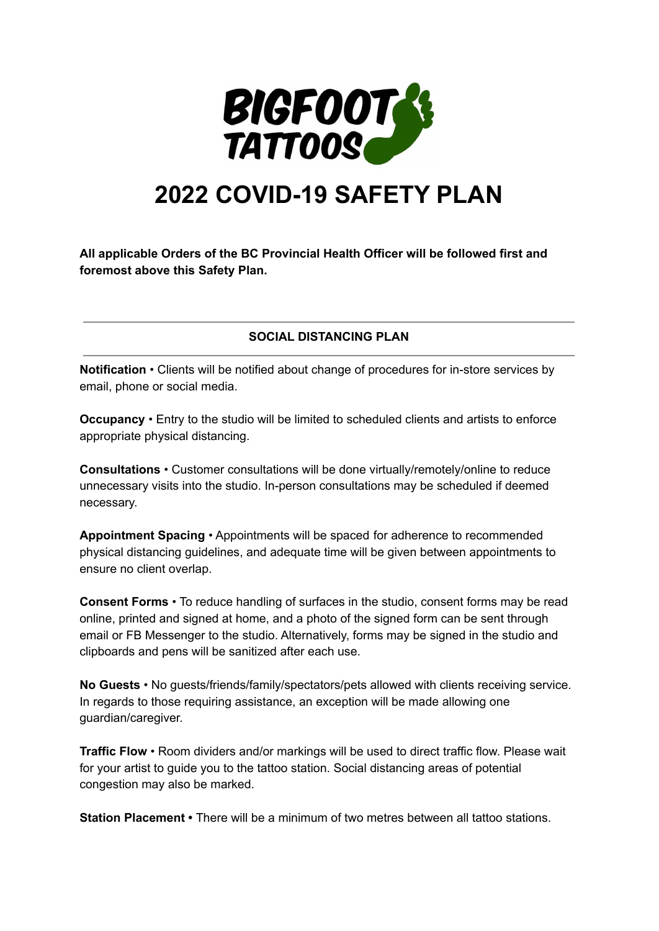

## **2022 COVID-19 SAFETY PLAN**

**All applicable Orders of the BC Provincial Health Officer will be followed first and foremost above this Safety Plan.**

**SOCIAL DISTANCING PLAN**

**Notification** • Clients will be notified about change of procedures for in-store services by email, phone or social media.

**Occupancy** • Entry to the studio will be limited to scheduled clients and artists to enforce appropriate physical distancing.

**Consultations** • Customer consultations will be done virtually/remotely/online to reduce unnecessary visits into the studio. In-person consultations may be scheduled if deemed necessary.

**Appointment Spacing** • Appointments will be spaced for adherence to recommended physical distancing guidelines, and adequate time will be given between appointments to ensure no client overlap.

**Consent Forms** • To reduce handling of surfaces in the studio, consent forms may be read online, printed and signed at home, and a photo of the signed form can be sent through email or FB Messenger to the studio. Alternatively, forms may be signed in the studio and clipboards and pens will be sanitized after each use.

**No Guests** • No guests/friends/family/spectators/pets allowed with clients receiving service. In regards to those requiring assistance, an exception will be made allowing one guardian/caregiver.

**Traffic Flow** • Room dividers and/or markings will be used to direct traffic flow. Please wait for your artist to guide you to the tattoo station. Social distancing areas of potential congestion may also be marked.

**Station Placement •** There will be a minimum of two metres between all tattoo stations.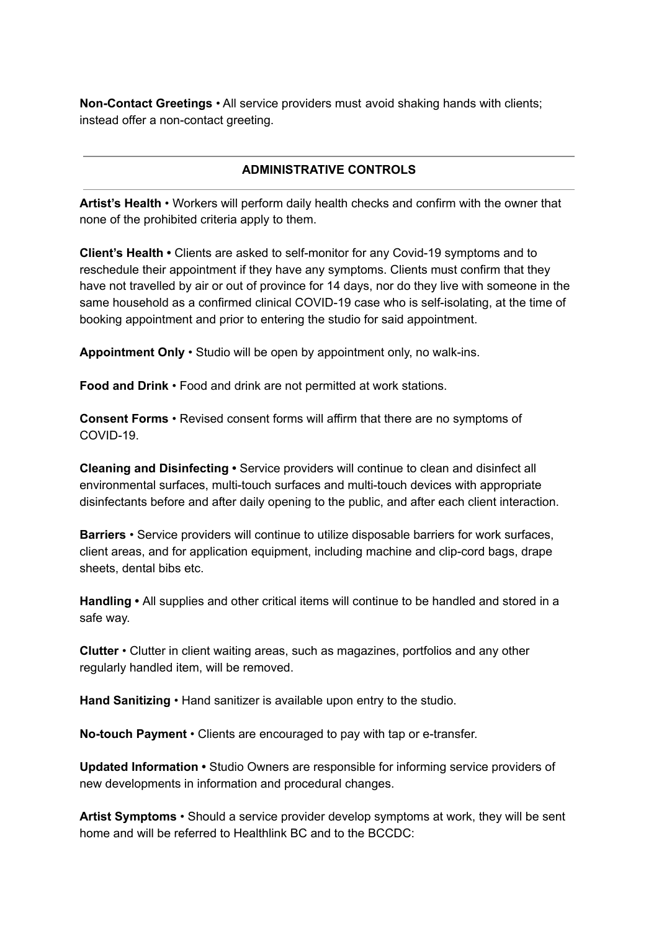**Non-Contact Greetings** • All service providers must avoid shaking hands with clients; instead offer a non-contact greeting.

## **ADMINISTRATIVE CONTROLS**

**Artist's Health** • Workers will perform daily health checks and confirm with the owner that none of the prohibited criteria apply to them.

**Client's Health •** Clients are asked to self-monitor for any Covid-19 symptoms and to reschedule their appointment if they have any symptoms. Clients must confirm that they have not travelled by air or out of province for 14 days, nor do they live with someone in the same household as a confirmed clinical COVID-19 case who is self-isolating, at the time of booking appointment and prior to entering the studio for said appointment.

**Appointment Only** • Studio will be open by appointment only, no walk-ins.

**Food and Drink** • Food and drink are not permitted at work stations.

**Consent Forms** • Revised consent forms will affirm that there are no symptoms of COVID-19.

**Cleaning and Disinfecting •** Service providers will continue to clean and disinfect all environmental surfaces, multi-touch surfaces and multi-touch devices with appropriate disinfectants before and after daily opening to the public, and after each client interaction.

**Barriers** • Service providers will continue to utilize disposable barriers for work surfaces, client areas, and for application equipment, including machine and clip-cord bags, drape sheets, dental bibs etc.

**Handling •** All supplies and other critical items will continue to be handled and stored in a safe way.

**Clutter** • Clutter in client waiting areas, such as magazines, portfolios and any other regularly handled item, will be removed.

**Hand Sanitizing** • Hand sanitizer is available upon entry to the studio.

**No-touch Payment** • Clients are encouraged to pay with tap or e-transfer.

**Updated Information •** Studio Owners are responsible for informing service providers of new developments in information and procedural changes.

**Artist Symptoms** • Should a service provider develop symptoms at work, they will be sent home and will be referred to Healthlink BC and to the BCCDC: